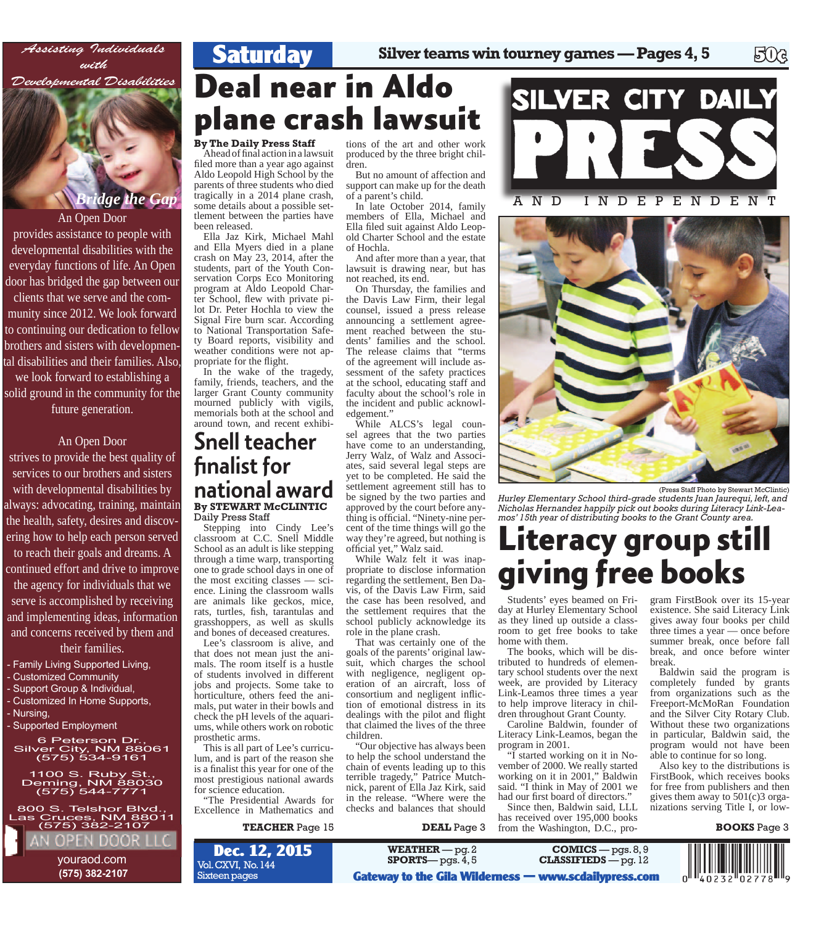

An Open Door provides assistance to people with developmental disabilities with the everyday functions of life. An Open door has bridged the gap between our clients that we serve and the community since 2012. We look forward to continuing our dedication to fellow brothers and sisters with developmental disabilities and their families. Also, we look forward to establishing a solid ground in the community for the future generation.

An Open Door strives to provide the best quality of services to our brothers and sisters with developmental disabilities by always: advocating, training, maintain the health, safety, desires and discovering how to help each person served to reach their goals and dreams. A continued effort and drive to improve the agency for individuals that we serve is accomplished by receiving and implementing ideas, information and concerns received by them and their families.

*Bridge the Gap*

6 Peterson Dr., 6 Peterson Dr.,<br>Silv<u>er City, </u>NM 88061 ver City, NM 880<br>(575) 534-9161 1100 S. Ruby St., 1100 S. Ruby St.,<br>Deming, NM 88030 eming, NM 8803<br>(575) 544-7771 800 S. Telshor Blvd., 800 S. Telshor Blvd.,<br>Las Cruces, NM 88011 (575) 382-2107

> youraod.com  **(575) 382-2107**

EN DOO

- Family Living Supported Living, - Customized Community - Support Group & Individual, - Customized In Home Supports,

- Supported Employment

- Nursing,

## **Deal near in Aldo plane crash lawsuit**

#### **By The Daily Press Staff**

Ahead of final action in a lawsuit filed more than a year ago against Aldo Leopold High School by the parents of three students who died tragically in a 2014 plane crash, some details about a possible settlement between the parties have been released.

**Saturday**

Ella Jaz Kirk, Michael Mahl and Ella Myers died in a plane crash on May 23, 2014, after the students, part of the Youth Conservation Corps Eco Monitoring program at Aldo Leopold Charter School, flew with private pilot Dr. Peter Hochla to view the Signal Fire burn scar. According to National Transportation Safety Board reports, visibility and weather conditions were not appropriate for the flight.

In the wake of the tragedy, family, friends, teachers, and the larger Grant County community mourned publicly with vigils, memorials both at the school and around town, and recent exhibi-

### **By STEWART McCLINTIC** Daily Press Staff Snell teacher finalist for national award

Stepping into Cindy Lee's classroom at C.C. Snell Middle School as an adult is like stepping through a time warp, transporting one to grade school days in one of the most exciting classes — science. Lining the classroom walls are animals like geckos, mice, rats, turtles, fish, tarantulas and grasshoppers, as well as skulls and bones of deceased creatures.

Lee's classroom is alive, and that does not mean just the animals. The room itself is a hustle of students involved in different jobs and projects. Some take to horticulture, others feed the animals, put water in their bowls and check the pH levels of the aquariums, while others work on robotic prosthetic arms.

This is all part of Lee's curriculum, and is part of the reason she is a finalist this year for one of the most prestigious national awards for science education.

"The Presidential Awards for Excellence in Mathematics and

**TEACHER** Page 15

tions of the art and other work produced by the three bright children.

But no amount of affection and support can make up for the death of a parent's child.

In late October 2014, family members of Ella, Michael and Ella filed suit against Aldo Leopold Charter School and the estate of Hochla.

And after more than a year, that lawsuit is drawing near, but has not reached, its end.

On Thursday, the families and the Davis Law Firm, their legal counsel, issued a press release announcing a settlement agreement reached between the students' families and the school. The release claims that "terms of the agreement will include assessment of the safety practices at the school, educating staff and faculty about the school's role in the incident and public acknowledgement."

While ALCS's legal counsel agrees that the two parties have come to an understanding, Jerry Walz, of Walz and Associates, said several legal steps are yet to be completed. He said the settlement agreement still has to be signed by the two parties and approved by the court before anything is official. "Ninety-nine percent of the time things will go the way they're agreed, but nothing is official yet," Walz said.

While Walz felt it was inappropriate to disclose information regarding the settlement, Ben Davis, of the Davis Law Firm, said the case has been resolved, and the settlement requires that the school publicly acknowledge its role in the plane crash.

That was certainly one of the goals of the parents' original lawsuit, which charges the school with negligence, negligent operation of an aircraft, loss of consortium and negligent infliction of emotional distress in its dealings with the pilot and flight that claimed the lives of the three children.

"Our objective has always been to help the school understand the chain of events leading up to this terrible tragedy," Patrice Mutchnick, parent of Ella Jaz Kirk, said in the release. "Where were the checks and balances that should



**WEATHER** — pg. 2 **SPORTS**— pgs. 4, 5





<sup>(</sup>Press Staff Photo by Stewart McClintic)

*Hurley Elementary School third-grade students Juan Jaurequi, left, and Nicholas Hernandez happily pick out books during Literacy Link-Leamos' 15th year of distributing books to the Grant County area.*

# **Little Strategier Strategier Strategier Strategier Strategier Strategier Strategier Strategier Strategier Strategier**

Students' eyes beamed on Friday at Hurley Elementary School as they lined up outside a classroom to get free books to take home with them. Students' eyes beamed on Fri-<br>day at Hurley Elementary School existence. She said Lit

The books, which will be distributed to hundreds of elementary school students over the next week, are provided by Literacy Link-Leamos three times a year to help improve literacy in children throughout Grant County.

Caroline Baldwin, founder of Literacy Link-Leamos, began the program in 2001.

"I started working on it in November of 2000. We really started working on it in 2001," Baldwin said. "I think in May of 2001 we had our first board of directors."

Since then, Baldwin said, LLL has received over 195,000 books from the Washington, D.C., pro-

**COMICS** — pgs. 8, 9<br>**CLASSIFIEDS** — pg. 12

**Gateway to the Gila Wilderness — www.scdailypress.com**

gram FirstBook over its 15-year existence. She said Literacy Link gives away four books per child three times a year — once before summer break, once before fall break, and once before winter break.

Baldwin said the program is completely funded by grants from organizations such as the Freeport-McMoRan Foundation and the Silver City Rotary Club. Without these two organizations in particular, Baldwin said, the program would not have been able to continue for so long.

Also key to the distributions is FirstBook, which receives books for free from publishers and then gives them away to 501(c)3 organizations serving Title I, or low-

#### **BOOKS** Page 3



Vol. CXVI, No. 144 Sixteen pages **Dec. 12, 2015**